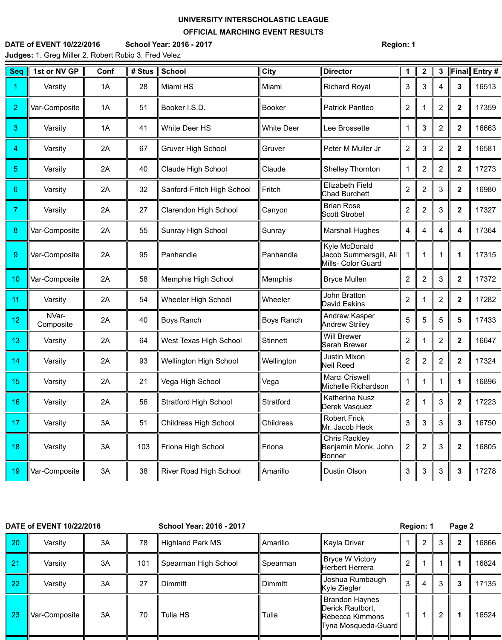## **UNIVERSITY INTERSCHOLASTIC LEAGUE**

## **OFFICIAL MARCHING EVENT RESULTS**

## **DATE of EVENT 10/22/2016 School Year: 2016 - 2017 Region: 1 Judges:** 1. Greg Miller 2. Robert Rubio 3. Fred Velez

| <b>Seq</b>       | 1st or NV GP       | Conf | # Stus | <b>School</b>                 | <b>City</b>       | <b>Director</b>                                                      | 1              | $\mathbf{2}$   | 3              | Final            | Entry # |
|------------------|--------------------|------|--------|-------------------------------|-------------------|----------------------------------------------------------------------|----------------|----------------|----------------|------------------|---------|
| 1                | Varsity            | 1A   | 28     | Miami HS                      | Miami             | <b>Richard Royal</b>                                                 | 3              | 3              | 4              | $\mathbf{3}$     | 16513   |
| $\overline{2}$   | Var-Composite      | 1A   | 51     | Booker I.S.D.                 | <b>Booker</b>     | <b>Patrick Pantleo</b>                                               | $\overline{2}$ |                | $\overline{2}$ | $\boldsymbol{2}$ | 17359   |
| 3                | Varsity            | 1A   | 41     | <b>White Deer HS</b>          | <b>White Deer</b> | Lee Brossette                                                        |                | 3              | $\overline{2}$ | $\overline{2}$   | 16663   |
| 4                | Varsity            | 2A   | 67     | <b>Gruver High School</b>     | Gruver            | Peter M Muller Jr                                                    | $\overline{2}$ | 3              | $\overline{2}$ | $\boldsymbol{2}$ | 16581   |
| $\overline{5}$   | Varsity            | 2A   | 40     | <b>Claude High School</b>     | Claude            | <b>Shelley Thornton</b>                                              |                | $\overline{2}$ | $\overline{2}$ | $\overline{2}$   | 17273   |
| $6\phantom{1}$   | Varsity            | 2A   | 32     | Sanford-Fritch High School    | Fritch            | <b>Elizabeth Field</b><br><b>Chad Burchett</b>                       | $\overline{2}$ | $\overline{2}$ | 3              | $\boldsymbol{2}$ | 16980   |
| $\overline{7}$   | Varsity            | 2A   | 27     | <b>Clarendon High School</b>  | Canyon            | <b>Brian Rose</b><br><b>Scott Strobel</b>                            | $\overline{2}$ | $\overline{2}$ | 3              | $\overline{2}$   | 17327   |
| $\boldsymbol{8}$ | Var-Composite      | 2A   | 55     | <b>Sunray High School</b>     | Sunray            | <b>Marshall Hughes</b>                                               | 4              | 4              | 4              | 4                | 17364   |
| $\overline{9}$   | Var-Composite      | 2A   | 95     | Panhandle                     | Panhandle         | Kyle McDonald<br>Jacob Summersgill, Ali<br><b>Mills- Color Guard</b> |                |                |                | 1                | 17315   |
| 10               | Var-Composite      | 2A   | 58     | <b>Memphis High School</b>    | <b>Memphis</b>    | <b>Bryce Mullen</b>                                                  | $\overline{2}$ | $\overline{2}$ | 3              | $\overline{2}$   | 17372   |
| 11               | Varsity            | 2A   | 54     | <b>Wheeler High School</b>    | Wheeler           | <b>John Bratton</b><br>David Eakins                                  | $\overline{2}$ |                | $\overline{2}$ | $\overline{2}$   | 17282   |
| 12               | NVar-<br>Composite | 2A   | 40     | <b>Boys Ranch</b>             | <b>Boys Ranch</b> | Andrew Kasper<br><b>Andrew Striley</b>                               | 5              | 5              | 5              | 5                | 17433   |
| 13               | Varsity            | 2A   | 64     | West Texas High School        | <b>Stinnett</b>   | <b>Will Brewer</b><br><b>Sarah Brewer</b>                            | $\overline{2}$ | $\mathbf{1}$   | 2              | $\mathbf 2$      | 16647   |
| 14               | Varsity            | 2A   | 93     | <b>Wellington High School</b> | Wellington        | Justin Mixon<br>Neil Reed                                            | $\overline{2}$ | $\overline{2}$ | $\overline{2}$ | $\boldsymbol{2}$ | 17324   |
| 15               | Varsity            | 2A   | 21     | Vega High School              | Vega              | Marci Criswell<br>Michelle Richardson                                |                |                |                | 1                | 16896   |
| 16               | Varsity            | 2A   | 56     | <b>Stratford High School</b>  | Stratford         | <b>Katherine Nusz</b><br>Derek Vasquez                               | $\overline{2}$ |                | 3              | $\boldsymbol{2}$ | 17223   |
| 17               | Varsity            | 3A   | 51     | <b>Childress High School</b>  | <b>Childress</b>  | <b>Robert Frick</b><br>Mr. Jacob Heck                                | $\mathbf{3}$   | 3              | 3              | $\mathbf{3}$     | 16750   |
| 18               | Varsity            | 3A   | 103    | Friona High School            | Friona            | <b>Chris Rackley</b><br>Benjamin Monk, John<br><b>Bonner</b>         | $\overline{2}$ | $\overline{2}$ | 3              | $\boldsymbol{2}$ | 16805   |
| 19               | Var-Composite      | 3A   | 38     | <b>River Road High School</b> | Amarillo          | Dustin Olson                                                         | 3              | $\mathbf{3}$   | 3              | $\mathbf{3}$     | 17278   |

| DATE of EVENT 10/22/2016 |               |    |     | <b>School Year: 2016 - 2017</b> |                 |                                                                                            | Region: 1      |   |   | Page 2 |       |
|--------------------------|---------------|----|-----|---------------------------------|-----------------|--------------------------------------------------------------------------------------------|----------------|---|---|--------|-------|
| 20                       | Varsity       | 3A | 78  | <b>Highland Park MS</b>         | <b>Amarillo</b> | <b>Kayla Driver</b>                                                                        |                |   | 3 |        | 16866 |
| $\sqrt{21}$              | Varsity       | 3A | 101 | Spearman High School            | Spearman        | <b>Bryce W Victory</b><br>Herbert Herrera                                                  | $\overline{2}$ |   |   |        | 16824 |
| 22                       | Varsity       | 3A | 27  | <b>Dimmitt</b>                  | Dimmitt         | Joshua Rumbaugh<br>Kyle Ziegler                                                            | 3              | 4 | 3 |        | 17135 |
| 23                       | Var-Composite | 3A | 70  | Tulia HS                        | Tulia           | <b>Brandon Haynes</b><br>Derick Rautbort,<br>Rebecca Kimmons<br><b>Tyna Mosqueda-Guard</b> |                |   |   |        | 16524 |
|                          |               |    |     |                                 |                 |                                                                                            |                |   |   |        |       |